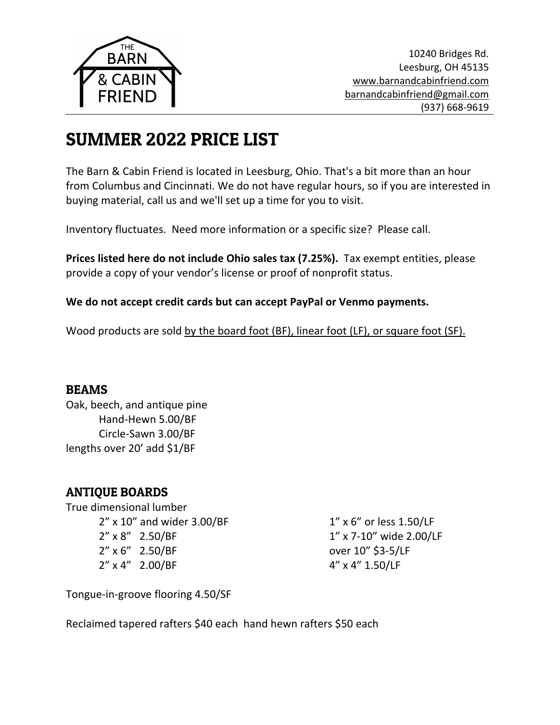

# SUMMER 2022 PRICE LIST

The Barn & Cabin Friend is located in Leesburg, Ohio. That's a bit more than an hour from Columbus and Cincinnati. We do not have regular hours, so if you are interested in buying material, call us and we'll set up a time for you to visit.

Inventory fluctuates. Need more information or a specific size? Please call.

**Prices listed here do not include Ohio sales tax (7.25%).** Tax exempt entities, please provide a copy of your vendor's license or proof of nonprofit status.

#### **We do not accept credit cards but can accept PayPal or Venmo payments.**

Wood products are sold by the board foot (BF), linear foot (LF), or square foot (SF).

#### BEAMS

Oak, beech, and antique pine Hand-Hewn 5.00/BF Circle-Sawn 3.00/BF lengths over 20' add \$1/BF

## ANTIQUE BOARDS

True dimensional lumber 2" x 10" and wider 3.00/BF 2" x 8" 2.50/BF 2" x 6" 2.50/BF 2" x 4" 2.00/BF

1" x 6" or less 1.50/LF 1" x 7-10" wide 2.00/LF over 10" \$3-5/LF 4" x 4" 1.50/LF

Tongue-in-groove flooring 4.50/SF

Reclaimed tapered rafters \$40 each hand hewn rafters \$50 each